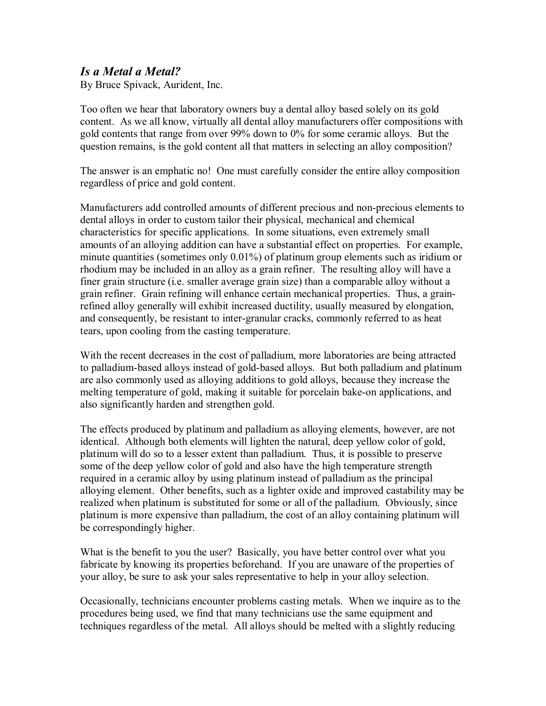## *Is a Metal a Metal?*

By Bruce Spivack, Aurident, Inc.

Too often we hear that laboratory owners buy a dental alloy based solely on its gold content. As we all know, virtually all dental alloy manufacturers offer compositions with gold contents that range from over 99% down to 0% for some ceramic alloys. But the question remains, is the gold content all that matters in selecting an alloy composition?

The answer is an emphatic no! One must carefully consider the entire alloy composition regardless of price and gold content.

Manufacturers add controlled amounts of different precious and non-precious elements to dental alloys in order to custom tailor their physical, mechanical and chemical characteristics for specific applications. In some situations, even extremely small amounts of an alloying addition can have a substantial effect on properties. For example, minute quantities (sometimes only 0.01%) of platinum group elements such as iridium or rhodium may be included in an alloy as a grain refiner. The resulting alloy will have a finer grain structure (i.e. smaller average grain size) than a comparable alloy without a grain refiner. Grain refining will enhance certain mechanical properties. Thus, a grainrefined alloy generally will exhibit increased ductility, usually measured by elongation, and consequently, be resistant to inter-granular cracks, commonly referred to as heat tears, upon cooling from the casting temperature.

With the recent decreases in the cost of palladium, more laboratories are being attracted to palladium-based alloys instead of gold-based alloys. But both palladium and platinum are also commonly used as alloying additions to gold alloys, because they increase the melting temperature of gold, making it suitable for porcelain bake-on applications, and also significantly harden and strengthen gold.

The effects produced by platinum and palladium as alloying elements, however, are not identical. Although both elements will lighten the natural, deep yellow color of gold, platinum will do so to a lesser extent than palladium. Thus, it is possible to preserve some of the deep yellow color of gold and also have the high temperature strength required in a ceramic alloy by using platinum instead of palladium as the principal alloying element. Other benefits, such as a lighter oxide and improved castability may be realized when platinum is substituted for some or all of the palladium. Obviously, since platinum is more expensive than palladium, the cost of an alloy containing platinum will be correspondingly higher.

What is the benefit to you the user? Basically, you have better control over what you fabricate by knowing its properties beforehand. If you are unaware of the properties of your alloy, be sure to ask your sales representative to help in your alloy selection.

Occasionally, technicians encounter problems casting metals. When we inquire as to the procedures being used, we find that many technicians use the same equipment and techniques regardless of the metal. All alloys should be melted with a slightly reducing